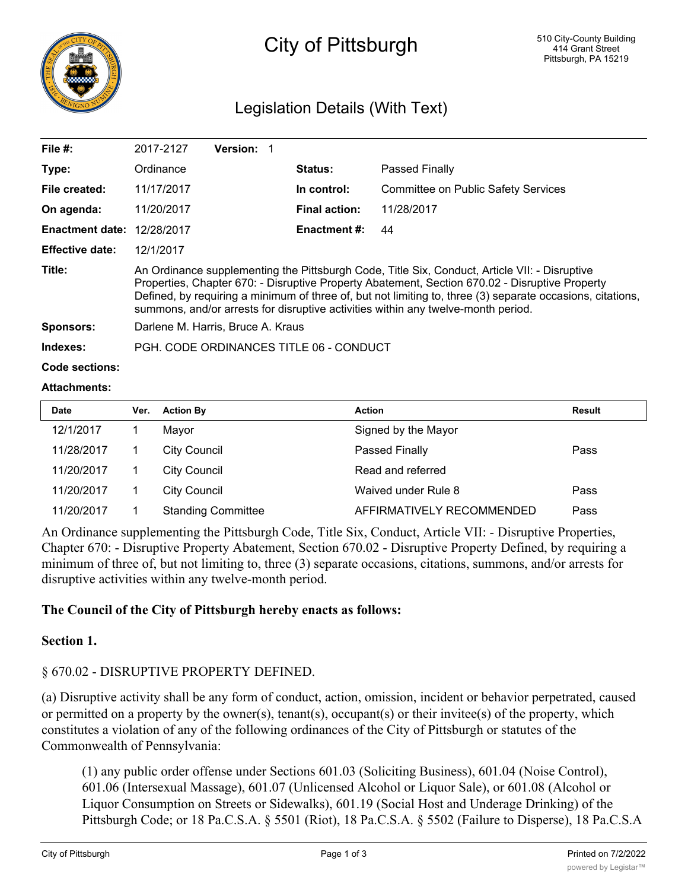

# City of Pittsburgh

# Legislation Details (With Text)

| File $#$ :             | 2017-2127                                                                                                                                                                                                                                                                                                                                                                                          | <b>Version: 1</b> |  |                      |                                            |  |  |
|------------------------|----------------------------------------------------------------------------------------------------------------------------------------------------------------------------------------------------------------------------------------------------------------------------------------------------------------------------------------------------------------------------------------------------|-------------------|--|----------------------|--------------------------------------------|--|--|
| Type:                  | Ordinance                                                                                                                                                                                                                                                                                                                                                                                          |                   |  | <b>Status:</b>       | Passed Finally                             |  |  |
| File created:          | 11/17/2017                                                                                                                                                                                                                                                                                                                                                                                         |                   |  | In control:          | <b>Committee on Public Safety Services</b> |  |  |
| On agenda:             | 11/20/2017                                                                                                                                                                                                                                                                                                                                                                                         |                   |  | <b>Final action:</b> | 11/28/2017                                 |  |  |
| <b>Enactment date:</b> | 12/28/2017                                                                                                                                                                                                                                                                                                                                                                                         |                   |  | Enactment #:         | 44                                         |  |  |
| <b>Effective date:</b> | 12/1/2017                                                                                                                                                                                                                                                                                                                                                                                          |                   |  |                      |                                            |  |  |
| Title:                 | An Ordinance supplementing the Pittsburgh Code, Title Six, Conduct, Article VII: - Disruptive<br>Properties, Chapter 670: - Disruptive Property Abatement, Section 670.02 - Disruptive Property<br>Defined, by requiring a minimum of three of, but not limiting to, three (3) separate occasions, citations,<br>summons, and/or arrests for disruptive activities within any twelve-month period. |                   |  |                      |                                            |  |  |
| <b>Sponsors:</b>       | Darlene M. Harris, Bruce A. Kraus                                                                                                                                                                                                                                                                                                                                                                  |                   |  |                      |                                            |  |  |
| Indexes:               | PGH. CODE ORDINANCES TITLE 06 - CONDUCT                                                                                                                                                                                                                                                                                                                                                            |                   |  |                      |                                            |  |  |
| Code sections:         |                                                                                                                                                                                                                                                                                                                                                                                                    |                   |  |                      |                                            |  |  |

#### **Attachments:**

| <b>Date</b> | Ver. | <b>Action By</b>          | <b>Action</b>             | <b>Result</b> |
|-------------|------|---------------------------|---------------------------|---------------|
| 12/1/2017   |      | Mayor                     | Signed by the Mayor       |               |
| 11/28/2017  |      | <b>City Council</b>       | Passed Finally            | Pass          |
| 11/20/2017  |      | <b>City Council</b>       | Read and referred         |               |
| 11/20/2017  |      | <b>City Council</b>       | Waived under Rule 8       | Pass          |
| 11/20/2017  |      | <b>Standing Committee</b> | AFFIRMATIVELY RECOMMENDED | Pass          |

An Ordinance supplementing the Pittsburgh Code, Title Six, Conduct, Article VII: - Disruptive Properties, Chapter 670: - Disruptive Property Abatement, Section 670.02 - Disruptive Property Defined, by requiring a minimum of three of, but not limiting to, three (3) separate occasions, citations, summons, and/or arrests for disruptive activities within any twelve-month period.

## **The Council of the City of Pittsburgh hereby enacts as follows:**

#### **Section 1.**

## § 670.02 - DISRUPTIVE PROPERTY DEFINED.

(a) Disruptive activity shall be any form of conduct, action, omission, incident or behavior perpetrated, caused or permitted on a property by the owner(s), tenant(s), occupant(s) or their invitee(s) of the property, which constitutes a violation of any of the following ordinances of the City of Pittsburgh or statutes of the Commonwealth of Pennsylvania:

(1) any public order offense under Sections 601.03 (Soliciting Business), 601.04 (Noise Control), 601.06 (Intersexual Massage), 601.07 (Unlicensed Alcohol or Liquor Sale), or 601.08 (Alcohol or Liquor Consumption on Streets or Sidewalks), 601.19 (Social Host and Underage Drinking) of the Pittsburgh Code; or 18 Pa.C.S.A. § 5501 (Riot), 18 Pa.C.S.A. § 5502 (Failure to Disperse), 18 Pa.C.S.A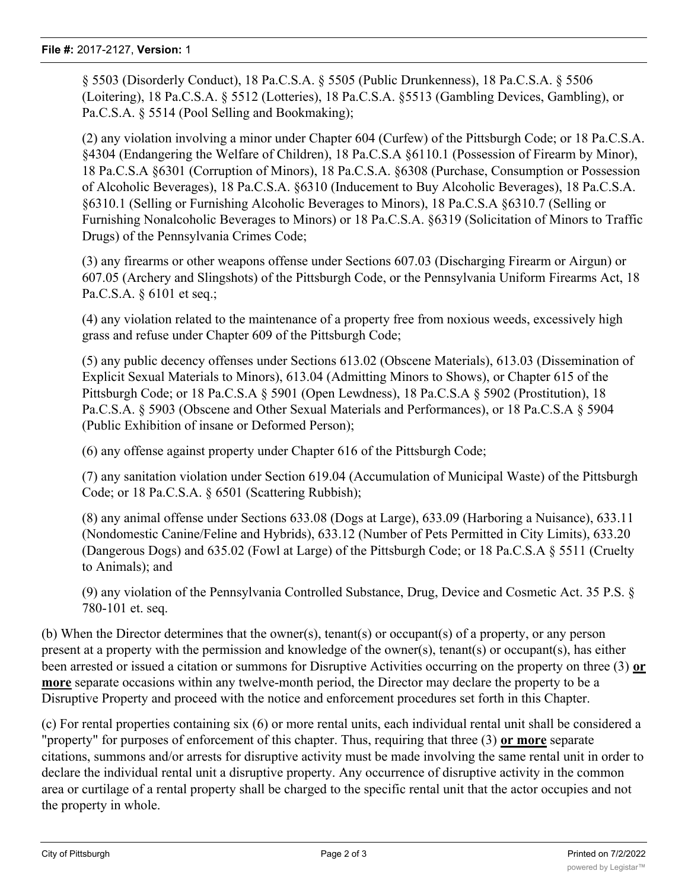§ 5503 (Disorderly Conduct), 18 Pa.C.S.A. § 5505 (Public Drunkenness), 18 Pa.C.S.A. § 5506 (Loitering), 18 Pa.C.S.A. § 5512 (Lotteries), 18 Pa.C.S.A. §5513 (Gambling Devices, Gambling), or Pa.C.S.A. § 5514 (Pool Selling and Bookmaking);

(2) any violation involving a minor under Chapter 604 (Curfew) of the Pittsburgh Code; or 18 Pa.C.S.A. §4304 (Endangering the Welfare of Children), 18 Pa.C.S.A §6110.1 (Possession of Firearm by Minor), 18 Pa.C.S.A §6301 (Corruption of Minors), 18 Pa.C.S.A. §6308 (Purchase, Consumption or Possession of Alcoholic Beverages), 18 Pa.C.S.A. §6310 (Inducement to Buy Alcoholic Beverages), 18 Pa.C.S.A. §6310.1 (Selling or Furnishing Alcoholic Beverages to Minors), 18 Pa.C.S.A §6310.7 (Selling or Furnishing Nonalcoholic Beverages to Minors) or 18 Pa.C.S.A. §6319 (Solicitation of Minors to Traffic Drugs) of the Pennsylvania Crimes Code;

(3) any firearms or other weapons offense under Sections 607.03 (Discharging Firearm or Airgun) or 607.05 (Archery and Slingshots) of the Pittsburgh Code, or the Pennsylvania Uniform Firearms Act, 18 Pa.C.S.A. § 6101 et seq.;

(4) any violation related to the maintenance of a property free from noxious weeds, excessively high grass and refuse under Chapter 609 of the Pittsburgh Code;

(5) any public decency offenses under Sections 613.02 (Obscene Materials), 613.03 (Dissemination of Explicit Sexual Materials to Minors), 613.04 (Admitting Minors to Shows), or Chapter 615 of the Pittsburgh Code; or 18 Pa.C.S.A § 5901 (Open Lewdness), 18 Pa.C.S.A § 5902 (Prostitution), 18 Pa.C.S.A. § 5903 (Obscene and Other Sexual Materials and Performances), or 18 Pa.C.S.A § 5904 (Public Exhibition of insane or Deformed Person);

(6) any offense against property under Chapter 616 of the Pittsburgh Code;

(7) any sanitation violation under Section 619.04 (Accumulation of Municipal Waste) of the Pittsburgh Code; or 18 Pa.C.S.A. § 6501 (Scattering Rubbish);

(8) any animal offense under Sections 633.08 (Dogs at Large), 633.09 (Harboring a Nuisance), 633.11 (Nondomestic Canine/Feline and Hybrids), 633.12 (Number of Pets Permitted in City Limits), 633.20 (Dangerous Dogs) and 635.02 (Fowl at Large) of the Pittsburgh Code; or 18 Pa.C.S.A § 5511 (Cruelty to Animals); and

(9) any violation of the Pennsylvania Controlled Substance, Drug, Device and Cosmetic Act. 35 P.S. § 780-101 et. seq.

(b) When the Director determines that the owner(s), tenant(s) or occupant(s) of a property, or any person present at a property with the permission and knowledge of the owner(s), tenant(s) or occupant(s), has either been arrested or issued a citation or summons for Disruptive Activities occurring on the property on three (3) **or more** separate occasions within any twelve-month period, the Director may declare the property to be a Disruptive Property and proceed with the notice and enforcement procedures set forth in this Chapter.

(c) For rental properties containing six (6) or more rental units, each individual rental unit shall be considered a "property" for purposes of enforcement of this chapter. Thus, requiring that three (3) **or more** separate citations, summons and/or arrests for disruptive activity must be made involving the same rental unit in order to declare the individual rental unit a disruptive property. Any occurrence of disruptive activity in the common area or curtilage of a rental property shall be charged to the specific rental unit that the actor occupies and not the property in whole.